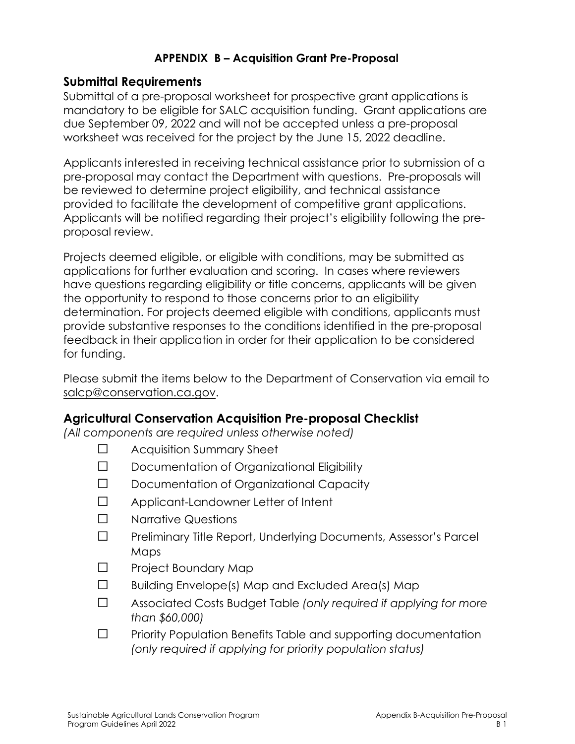# **APPENDIX B – Acquisition Grant Pre-Proposal**

## **Submittal Requirements**

Submittal of a pre-proposal worksheet for prospective grant applications is mandatory to be eligible for SALC acquisition funding. Grant applications are due September 09, 2022 and will not be accepted unless a pre-proposal worksheet was received for the project by the June 15, 2022 deadline.

Applicants interested in receiving technical assistance prior to submission of a pre-proposal may contact the Department with questions. Pre-proposals will be reviewed to determine project eligibility, and technical assistance provided to facilitate the development of competitive grant applications. Applicants will be notified regarding their project's eligibility following the preproposal review.

Projects deemed eligible, or eligible with conditions, may be submitted as applications for further evaluation and scoring. In cases where reviewers have questions regarding eligibility or title concerns, applicants will be given the opportunity to respond to those concerns prior to an eligibility determination. For projects deemed eligible with conditions, applicants must provide substantive responses to the conditions identified in the pre-proposal feedback in their application in order for their application to be considered for funding.

Please submit the items below to the Department of Conservation via email to [salcp@conservation.ca.gov.](mailto:salcp@conservation.ca.gov)

## **Agricultural Conservation Acquisition Pre-proposal Checklist**

*(All components are required unless otherwise noted)* 

- ☐ Acquisition Summary Sheet
- ☐ Documentation of Organizational Eligibility
- ☐ Documentation of Organizational Capacity
- ☐ Applicant-Landowner Letter of Intent
- ☐ Narrative Questions
- ☐ Preliminary Title Report, Underlying Documents, Assessor's Parcel Maps
- ☐ Project Boundary Map
- ☐ Building Envelope(s) Map and Excluded Area(s) Map
- ☐ Associated Costs Budget Table *(only required if applying for more than \$60,000)*
- ☐ Priority Population Benefits Table and supporting documentation *(only required if applying for priority population status)*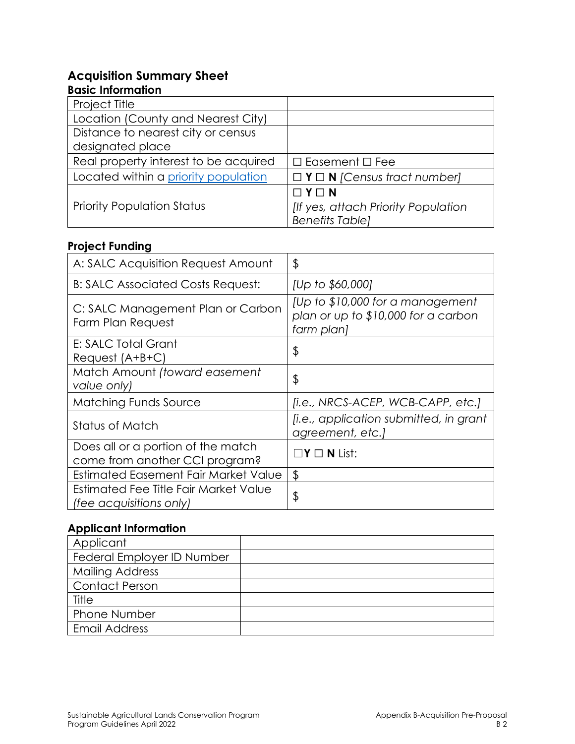# **Acquisition Summary Sheet**

## **Basic Information**

| Project Title                         |                                                              |
|---------------------------------------|--------------------------------------------------------------|
| Location (County and Nearest City)    |                                                              |
| Distance to nearest city or census    |                                                              |
| designated place                      |                                                              |
| Real property interest to be acquired | $\Box$ Easement $\Box$ Fee                                   |
| Located within a priority population  | $\Box$ <b>Y</b> $\Box$ <b>N</b> <i>[Census tract number]</i> |
|                                       | $\Box$ $Y$ $\Box$ $N$                                        |
| <b>Priority Population Status</b>     | [If yes, attach Priority Population                          |
|                                       | <b>Benefits Table]</b>                                       |

# **Project Funding**

| A: SALC Acquisition Request Amount                                   | \$                                                                                    |
|----------------------------------------------------------------------|---------------------------------------------------------------------------------------|
| <b>B: SALC Associated Costs Request:</b>                             | [Up to \$60,000]                                                                      |
| C: SALC Management Plan or Carbon<br>Farm Plan Request               | (Up to \$10,000 for a management<br>plan or up to \$10,000 for a carbon<br>farm plan] |
| E: SALC Total Grant<br>$Request (A+B+C)$                             | \$                                                                                    |
| Match Amount (toward easement<br>value only)                         | \$                                                                                    |
| Matching Funds Source                                                | [i.e., NRCS-ACEP, WCB-CAPP, etc.]                                                     |
| <b>Status of Match</b>                                               | <i>fi.e., application submitted, in grant</i><br>agreement, etc.]                     |
| Does all or a portion of the match<br>come from another CCI program? | $\Box$ Y $\Box$ N List:                                                               |
| Estimated Easement Fair Market Value                                 | \$                                                                                    |
| Estimated Fee Title Fair Market Value<br>(fee acquisitions only)     | \$                                                                                    |

# **Applicant Information**

| Applicant                  |  |
|----------------------------|--|
| Federal Employer ID Number |  |
| <b>Mailing Address</b>     |  |
| <b>Contact Person</b>      |  |
| Title                      |  |
| <b>Phone Number</b>        |  |
| <b>Email Address</b>       |  |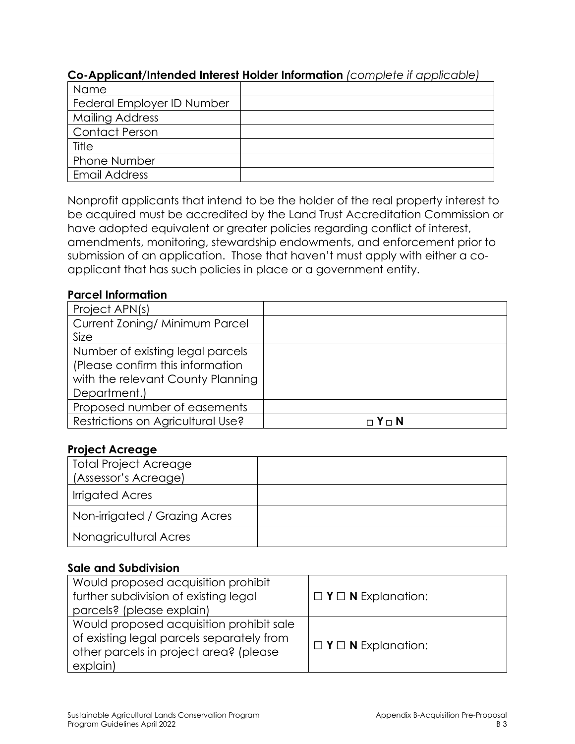| . .                        |  |  |  |
|----------------------------|--|--|--|
| Name                       |  |  |  |
| Federal Employer ID Number |  |  |  |
| <b>Mailing Address</b>     |  |  |  |
| <b>Contact Person</b>      |  |  |  |
| Title                      |  |  |  |
| Phone Number               |  |  |  |
| <b>Email Address</b>       |  |  |  |

## **Co-Applicant/Intended Interest Holder Information** *(complete if applicable)*

 submission of an application. Those that haven't must apply with either a co-Nonprofit applicants that intend to be the holder of the real property interest to be acquired must be accredited by the Land Trust Accreditation Commission or have adopted equivalent or greater policies regarding conflict of interest, amendments, monitoring, stewardship endowments, and enforcement prior to applicant that has such policies in place or a government entity.

#### **Parcel Information**

| Project APN(s)                    |         |
|-----------------------------------|---------|
| Current Zoning/ Minimum Parcel    |         |
| Size                              |         |
| Number of existing legal parcels  |         |
| (Please confirm this information  |         |
| with the relevant County Planning |         |
| Department.)                      |         |
| Proposed number of easements      |         |
| Restrictions on Agricultural Use? | □ Y □ N |

#### **Project Acreage**

| <b>Total Project Acreage</b>  |  |
|-------------------------------|--|
| (Assessor's Acreage)          |  |
| <b>Irrigated Acres</b>        |  |
| Non-irrigated / Grazing Acres |  |
| Nonagricultural Acres         |  |

#### **Sale and Subdivision**

| Would proposed acquisition prohibit<br>further subdivision of existing legal<br>parcels? (please explain)                                   | $\Box$ <b>Y</b> $\Box$ <b>N</b> Explanation: |
|---------------------------------------------------------------------------------------------------------------------------------------------|----------------------------------------------|
| Would proposed acquisition prohibit sale<br>of existing legal parcels separately from<br>other parcels in project area? (please<br>explain) | $\Box$ <b>Y</b> $\Box$ <b>N</b> Explanation: |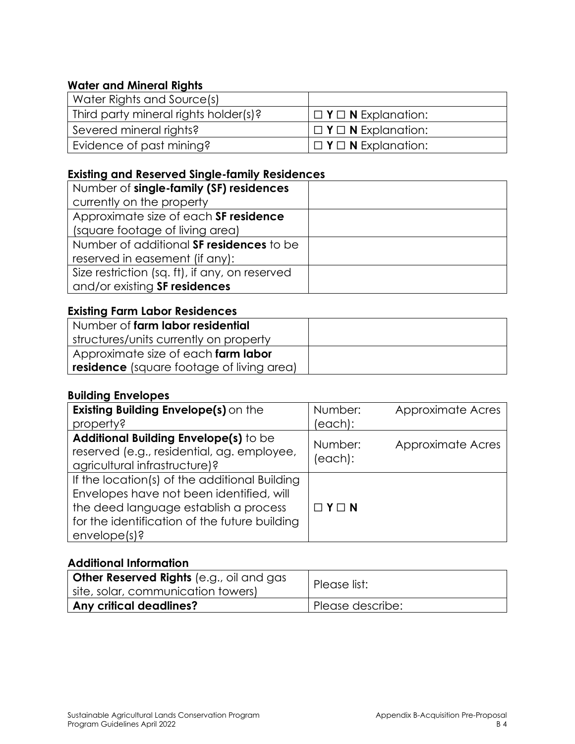### **Water and Mineral Rights**

| Water Rights and Source(s)            |                                              |
|---------------------------------------|----------------------------------------------|
| Third party mineral rights holder(s)? | $\Box$ <b>Y</b> $\Box$ <b>N</b> Explanation: |
| Severed mineral rights?               | $\Box$ <b>Y</b> $\Box$ <b>N</b> Explanation: |
| Evidence of past mining?              | $\Box$ <b>Y</b> $\Box$ <b>N</b> Explanation: |

## **Existing and Reserved Single-family Residences**

| Number of single-family (SF) residences        |  |
|------------------------------------------------|--|
| currently on the property                      |  |
| Approximate size of each SF residence          |  |
| (square footage of living area)                |  |
| Number of additional SF residences to be       |  |
| reserved in easement (if any):                 |  |
| Size restriction (sq. ft), if any, on reserved |  |
| and/or existing SF residences                  |  |

## **Existing Farm Labor Residences**

| Number of farm labor residential                 |  |
|--------------------------------------------------|--|
| structures/units currently on property           |  |
| Approximate size of each <b>farm labor</b>       |  |
| <b>residence</b> (square footage of living area) |  |

## **Building Envelopes**

| Existing Building Envelope(s) on the                                                                                                                                                                   | Number:            | Approximate Acres |
|--------------------------------------------------------------------------------------------------------------------------------------------------------------------------------------------------------|--------------------|-------------------|
| property?                                                                                                                                                                                              | (each):            |                   |
| Additional Building Envelope(s) to be<br>reserved (e.g., residential, ag. employee,<br>agricultural infrastructure)?                                                                                   | Number:<br>(each): | Approximate Acres |
| If the location(s) of the additional Building<br>Envelopes have not been identified, will<br>the deed language establish a process<br>for the identification of the future building<br>$envelope(s)$ ? | $\Box$ $Y \Box$ N  |                   |

#### **Additional Information**

| <b>Other Reserved Rights</b> (e.g., oil and gas<br>site, solar, communication towers) | Please list:     |
|---------------------------------------------------------------------------------------|------------------|
| Any critical deadlines?                                                               | Please describe: |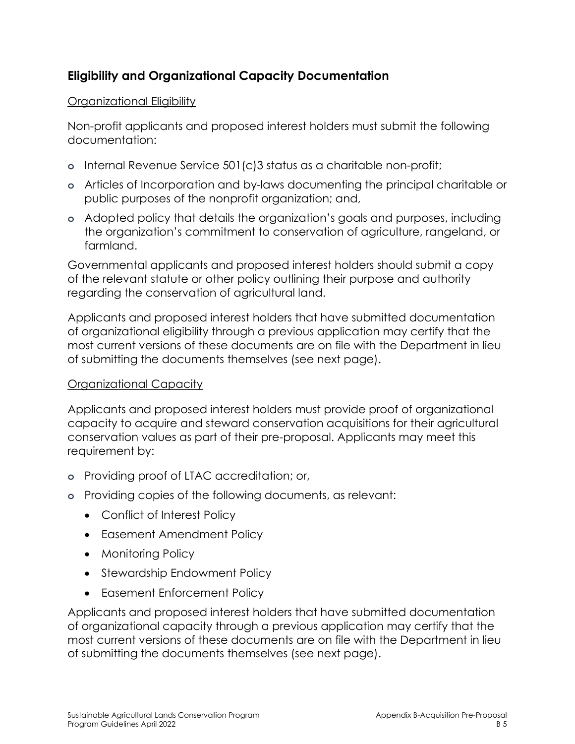# **Eligibility and Organizational Capacity Documentation**

## Organizational Eligibility

Non-profit applicants and proposed interest holders must submit the following documentation:

- **o** Internal Revenue Service 501(c)3 status as a charitable non-profit;
- **o** Articles of Incorporation and by-laws documenting the principal charitable or public purposes of the nonprofit organization; and,
- **o** Adopted policy that details the organization's goals and purposes, including the organization's commitment to conservation of agriculture, rangeland, or farmland.

Governmental applicants and proposed interest holders should submit a copy of the relevant statute or other policy outlining their purpose and authority regarding the conservation of agricultural land.

Applicants and proposed interest holders that have submitted documentation of organizational eligibility through a previous application may certify that the most current versions of these documents are on file with the Department in lieu of submitting the documents themselves (see next page).

## Organizational Capacity

Applicants and proposed interest holders must provide proof of organizational capacity to acquire and steward conservation acquisitions for their agricultural conservation values as part of their pre-proposal. Applicants may meet this requirement by:

- **o** Providing proof of LTAC accreditation; or,
- **o** Providing copies of the following documents, as relevant:
	- Conflict of Interest Policy
	- Easement Amendment Policy
	- Monitoring Policy
	- Stewardship Endowment Policy
	- Easement Enforcement Policy

Applicants and proposed interest holders that have submitted documentation of organizational capacity through a previous application may certify that the most current versions of these documents are on file with the Department in lieu of submitting the documents themselves (see next page).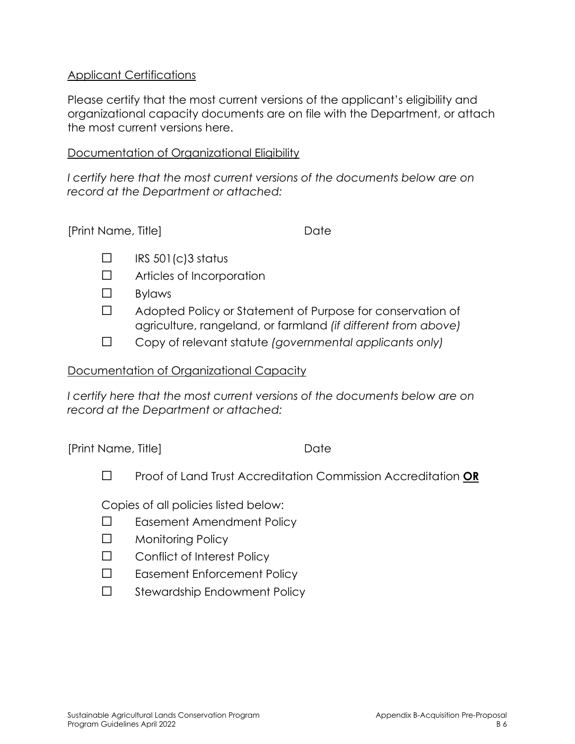## Applicant Certifications

Please certify that the most current versions of the applicant's eligibility and organizational capacity documents are on file with the Department, or attach the most current versions here.

#### Documentation of Organizational Eligibility

I certify here that the most current versions of the documents below are on *record at the Department or attached:* 

| [Print Name, Title] | Date |
|---------------------|------|
|                     |      |

- $\square$  IRS 501(c)3 status
- ☐ Articles of Incorporation
- $\Box$ **Bylaws**
- ☐ Adopted Policy or Statement of Purpose for conservation of agriculture, rangeland, or farmland *(if different from above)*
- ☐ Copy of relevant statute *(governmental applicants only)*

## Documentation of Organizational Capacity

I certify here that the most current versions of the documents below are on *record at the Department or attached:* 

[Print Name, Title] Date

☐ Proof of Land Trust Accreditation Commission Accreditation **OR**

Copies of all policies listed below:

- ☐ Easement Amendment Policy
- ☐ Monitoring Policy
- ☐ Conflict of Interest Policy
- ☐ Easement Enforcement Policy
- ☐ Stewardship Endowment Policy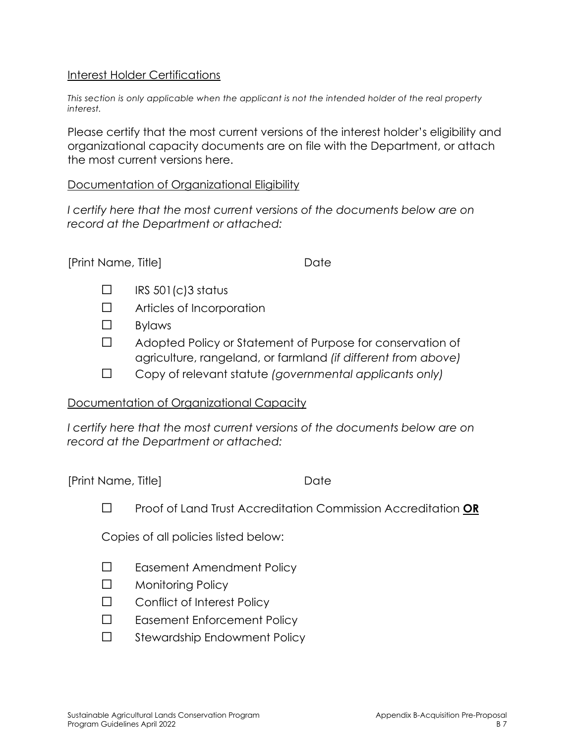#### Interest Holder Certifications

*This section is only applicable when the applicant is not the intended holder of the real property interest.* 

Please certify that the most current versions of the interest holder's eligibility and organizational capacity documents are on file with the Department, or attach the most current versions here.

#### Documentation of Organizational Eligibility

*I certify here that the most current versions of the documents below are on record at the Department or attached:* 

#### [Print Name, Title] Date

- $\Box$  IRS 501(c)3 status
- ☐ Articles of Incorporation
- $\Box$ **Bylaws**
- ☐ Adopted Policy or Statement of Purpose for conservation of agriculture, rangeland, or farmland *(if different from above)*
- ☐ Copy of relevant statute *(governmental applicants only)*

#### Documentation of Organizational Capacity

I certify here that the most current versions of the documents below are on *record at the Department or attached:* 

[Print Name, Title] Date

☐ Proof of Land Trust Accreditation Commission Accreditation **OR**

Copies of all policies listed below:

- ☐ Easement Amendment Policy
- ☐ Monitoring Policy
- ☐ Conflict of Interest Policy
- ☐ Easement Enforcement Policy
- ☐ Stewardship Endowment Policy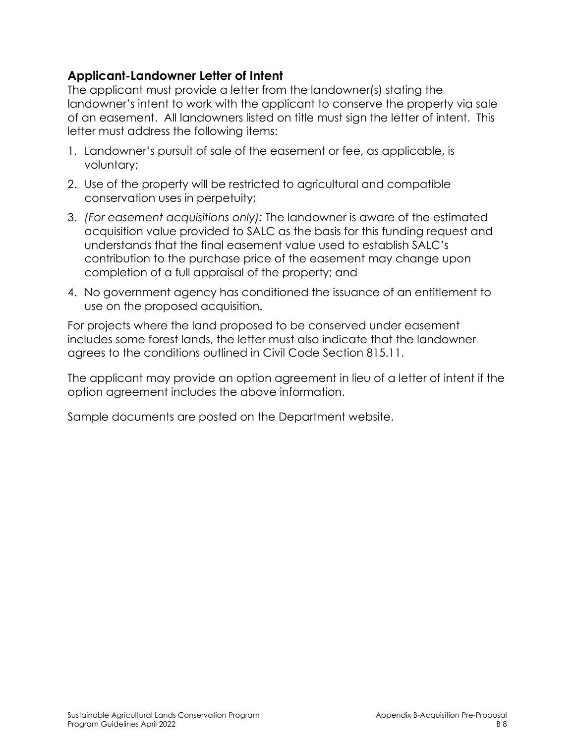# **Applicant-Landowner Letter of Intent**

The applicant must provide a letter from the landowner(s) stating the landowner's intent to work with the applicant to conserve the property via sale of an easement. All landowners listed on title must sign the letter of intent. This letter must address the following items:

- 1. Landowner's pursuit of sale of the easement or fee, as applicable, is voluntary;
- 2. Use of the property will be restricted to agricultural and compatible conservation uses in perpetuity;
- 3. *(For easement acquisitions only):* The landowner is aware of the estimated acquisition value provided to SALC as the basis for this funding request and understands that the final easement value used to establish SALC's contribution to the purchase price of the easement may change upon completion of a full appraisal of the property; and
- 4. No government agency has conditioned the issuance of an entitlement to use on the proposed acquisition.

For projects where the land proposed to be conserved under easement includes some forest lands, the letter must also indicate that the landowner agrees to the conditions outlined in Civil Code Section 815.11.

The applicant may provide an option agreement in lieu of a letter of intent if the option agreement includes the above information.

Sample documents are posted on the Department website.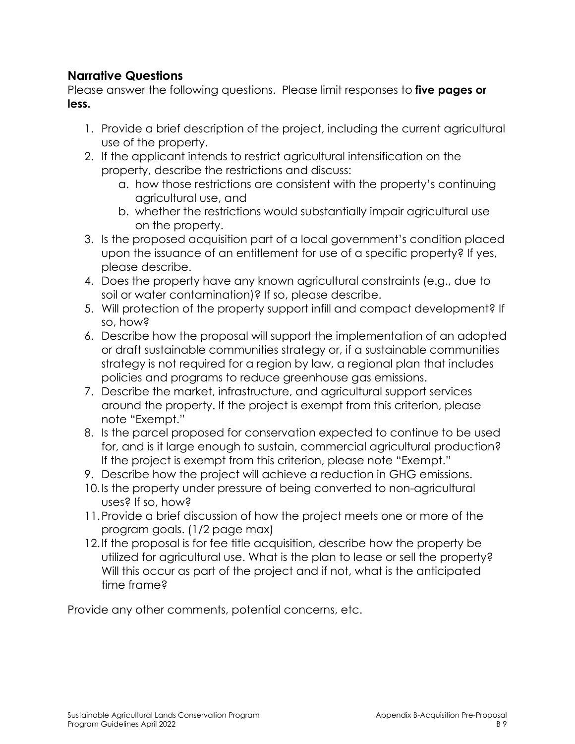## **Narrative Questions**

Please answer the following questions. Please limit responses to **five pages or less.** 

- 1. Provide a brief description of the project, including the current agricultural use of the property.
- property, describe the restrictions and discuss: 2. If the applicant intends to restrict agricultural intensification on the
	- a. how those restrictions are consistent with the property's continuing agricultural use, and
	- b. whether the restrictions would substantially impair agricultural use on the property.
- upon the issuance of an entitlement for use of a specific property? If yes, 3. Is the proposed acquisition part of a local government's condition placed please describe.
- 4. Does the property have any known agricultural constraints (e.g., due to soil or water contamination)? If so, please describe.
- 5. Will protection of the property support infill and compact development? If so, how?
- 6. Describe how the proposal will support the implementation of an adopted or draft sustainable communities strategy or, if a sustainable communities strategy is not required for a region by law, a regional plan that includes policies and programs to reduce greenhouse gas emissions.
- 7. Describe the market, infrastructure, and agricultural support services around the property. If the project is exempt from this criterion, please note "Exempt."
- 8. Is the parcel proposed for conservation expected to continue to be used for, and is it large enough to sustain, commercial agricultural production? If the project is exempt from this criterion, please note "Exempt."
- 9. Describe how the project will achieve a reduction in GHG emissions.
- 10.Is the property under pressure of being converted to non-agricultural uses? If so, how?
- program goals. (1/2 page max) 11.Provide a brief discussion of how the project meets one or more of the
- 12.If the proposal is for fee title acquisition, describe how the property be utilized for agricultural use. What is the plan to lease or sell the property? Will this occur as part of the project and if not, what is the anticipated time frame?

Provide any other comments, potential concerns, etc.